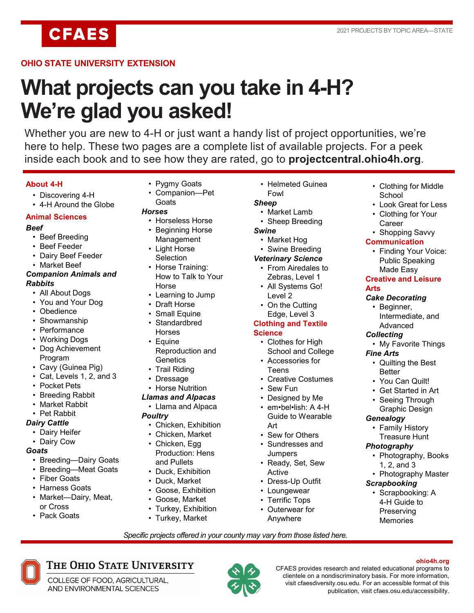**CFAES** 

# **OHIO STATE UNIVERSITY EXTENSION**

# **What projects can you take in 4-H? We're glad you asked!**

Whether you are new to 4-H or just want a handy list of project opportunities, we're here to help. These two pages are a complete list of available projects. For a peek inside each book and to see how they are rated, go to **projectcentral.ohio4h.org**.

### **About 4-H**

- Discovering 4-H
- 4-H Around the Globe

### **Animal Sciences**

### *Beef*

- Beef Breeding
- Beef Feeder
- Dairy Beef Feeder
- Market Beef

### *Companion Animals and Rabbits*

- All About Dogs
- You and Your Dog
- Obedience
- Showmanship
- Performance
- Working Dogs
- Dog Achievement Program
- Cavy (Guinea Pig)
- Cat, Levels 1, 2, and 3
- Pocket Pets
- Breeding Rabbit
- Market Rabbit
- Pet Rabbit

### *Dairy Cattle*

- Dairy Heifer
- Dairy Cow

### *Goats*

- Breeding—Dairy Goats
- Breeding—Meat Goats
- Fiber Goats
- Harness Goats
- Market—Dairy, Meat, or Cross

THE OHIO STATE UNIVERSITY

COLLEGE OF FOOD, AGRICULTURAL, AND ENVIRONMENTAL SCIENCES

• Pack Goats

- Pygmy Goats
- Companion—Pet **Goats**

### *Horses*

- Horseless Horse
- Beginning Horse Management
- Light Horse **Selection**
- Horse Training:
	- How to Talk to Your Horse
- Learning to Jump
- Draft Horse
- Small Equine
- Standardbred Horses
- Equine
- Reproduction and **Genetics** • Trail Riding
- **Dressage**
- Horse Nutrition
- *Llamas and Alpacas*
- Llama and Alpaca
- *Poultry*
	- Chicken, Exhibition
	- Chicken, Market
	- Chicken, Egg Production: Hens and Pullets
	- Duck, Exhibition
	- Duck, Market
	- Goose, Exhibition
	- Goose, Market
	- Turkey, Exhibition
	- Turkey, Market

• Helmeted Guinea Fowl

# *Sheep*

- Market Lamb
- Sheep Breeding
- *Swine*
	- Market Hog
	- Swine Breeding

### *Veterinary Science*

- From Airedales to Zebras, Level 1
- All Systems Go! Level 2
- On the Cutting Edge, Level 3

### **Clothing and Textile Science**

- Clothes for High School and College
- Accessories for Teens
- Creative Costumes
- Sew Fun
- Designed by Me
- em•bel•lish: A 4-H Guide to Wearable Art
- Sew for Others
- Sundresses and **Jumpers**
- Ready, Set, Sew Active
- Dress-Up Outfit
- Loungewear
- Terrific Tops
- Outerwear for Anywhere

*Specific projects offered in your county may vary from those listed here.*

- Clothing for Middle **School**
- Look Great for Less
- Clothing for Your **Career**
- Shopping Savvy

### **Communication**

• Finding Your Voice: Public Speaking Made Easy

### **Creative and Leisure Arts**

### *Cake Decorating*

*Collecting*

*Fine Arts*

Better • You Can Quilt! • Get Started in Art Seeing Through Graphic Design

*Genealogy*

*Photography*

*Scrapbooking*

publication, visit cfaes.osu.edu/accessibility.

CFAES provides research and related educational programs to clientele on a nondiscriminatory basis. For more information, visit cfaesdiversity.osu.edu. For an accessible format of this

• Beginner, Intermediate, and Advanced

• My Favorite Things

• Quilting the Best

• Family History Treasure Hunt

1, 2, and 3

• Photography, Books

• Photography Master

**ohio4h.org**

• Scrapbooking: A 4-H Guide to Preserving **Memories**